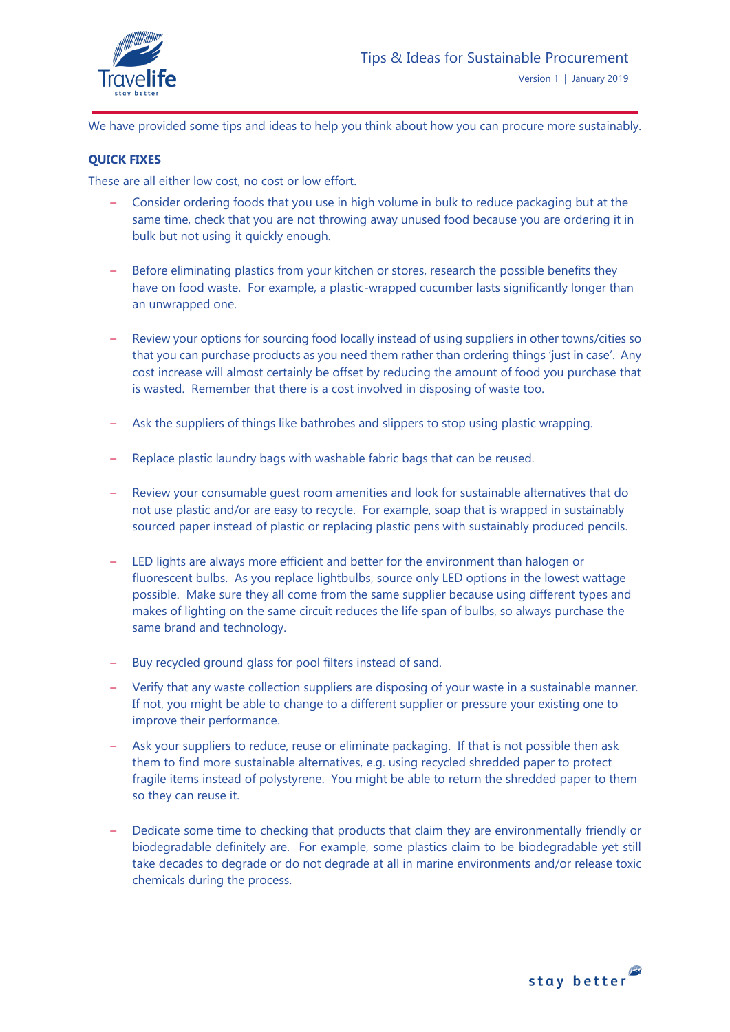

We have provided some tips and ideas to help you think about how you can procure more sustainably.

## **QUICK FIXES**

These are all either low cost, no cost or low effort.

- Consider ordering foods that you use in high volume in bulk to reduce packaging but at the same time, check that you are not throwing away unused food because you are ordering it in bulk but not using it quickly enough.
- Before eliminating plastics from your kitchen or stores, research the possible benefits they have on food waste. For example, a plastic-wrapped cucumber lasts significantly longer than an unwrapped one.
- Review your options for sourcing food locally instead of using suppliers in other towns/cities so that you can purchase products as you need them rather than ordering things 'just in case'. Any cost increase will almost certainly be offset by reducing the amount of food you purchase that is wasted. Remember that there is a cost involved in disposing of waste too.
- Ask the suppliers of things like bathrobes and slippers to stop using plastic wrapping.
- Replace plastic laundry bags with washable fabric bags that can be reused.
- Review your consumable guest room amenities and look for sustainable alternatives that do not use plastic and/or are easy to recycle. For example, soap that is wrapped in sustainably sourced paper instead of plastic or replacing plastic pens with sustainably produced pencils.
- LED lights are always more efficient and better for the environment than halogen or fluorescent bulbs. As you replace lightbulbs, source only LED options in the lowest wattage possible. Make sure they all come from the same supplier because using different types and makes of lighting on the same circuit reduces the life span of bulbs, so always purchase the same brand and technology.
- Buy recycled ground glass for pool filters instead of sand.
- Verify that any waste collection suppliers are disposing of your waste in a sustainable manner. If not, you might be able to change to a different supplier or pressure your existing one to improve their performance.
- Ask your suppliers to reduce, reuse or eliminate packaging. If that is not possible then ask them to find more sustainable alternatives, e.g. using recycled shredded paper to protect fragile items instead of polystyrene. You might be able to return the shredded paper to them so they can reuse it.
- Dedicate some time to checking that products that claim they are environmentally friendly or biodegradable definitely are. For example, some plastics claim to be biodegradable yet still take decades to degrade or do not degrade at all in marine environments and/or release toxic chemicals during the process.

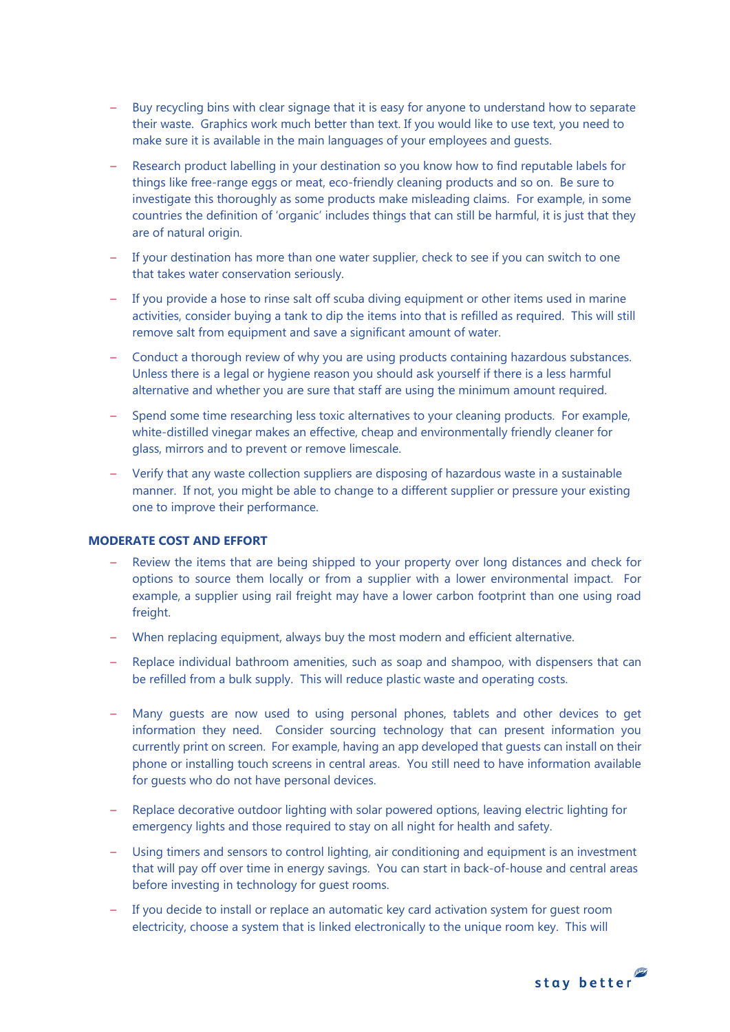- Buy recycling bins with clear signage that it is easy for anyone to understand how to separate their waste. Graphics work much better than text. If you would like to use text, you need to make sure it is available in the main languages of your employees and guests.
- Research product labelling in your destination so you know how to find reputable labels for things like free-range eggs or meat, eco-friendly cleaning products and so on. Be sure to investigate this thoroughly as some products make misleading claims. For example, in some countries the definition of 'organic' includes things that can still be harmful, it is just that they are of natural origin.
- If your destination has more than one water supplier, check to see if you can switch to one that takes water conservation seriously.
- If you provide a hose to rinse salt off scuba diving equipment or other items used in marine activities, consider buying a tank to dip the items into that is refilled as required. This will still remove salt from equipment and save a significant amount of water.
- Conduct a thorough review of why you are using products containing hazardous substances. Unless there is a legal or hygiene reason you should ask yourself if there is a less harmful alternative and whether you are sure that staff are using the minimum amount required.
- Spend some time researching less toxic alternatives to your cleaning products. For example, white-distilled vinegar makes an effective, cheap and environmentally friendly cleaner for glass, mirrors and to prevent or remove limescale.
- Verify that any waste collection suppliers are disposing of hazardous waste in a sustainable manner. If not, you might be able to change to a different supplier or pressure your existing one to improve their performance.

## **MODERATE COST AND EFFORT**

- Review the items that are being shipped to your property over long distances and check for options to source them locally or from a supplier with a lower environmental impact. For example, a supplier using rail freight may have a lower carbon footprint than one using road freight.
- When replacing equipment, always buy the most modern and efficient alternative.
- Replace individual bathroom amenities, such as soap and shampoo, with dispensers that can be refilled from a bulk supply. This will reduce plastic waste and operating costs.
- Many guests are now used to using personal phones, tablets and other devices to get information they need. Consider sourcing technology that can present information you currently print on screen. For example, having an app developed that guests can install on their phone or installing touch screens in central areas. You still need to have information available for guests who do not have personal devices.
- Replace decorative outdoor lighting with solar powered options, leaving electric lighting for emergency lights and those required to stay on all night for health and safety.
- Using timers and sensors to control lighting, air conditioning and equipment is an investment that will pay off over time in energy savings. You can start in back-of-house and central areas before investing in technology for guest rooms.
- If you decide to install or replace an automatic key card activation system for guest room electricity, choose a system that is linked electronically to the unique room key. This will